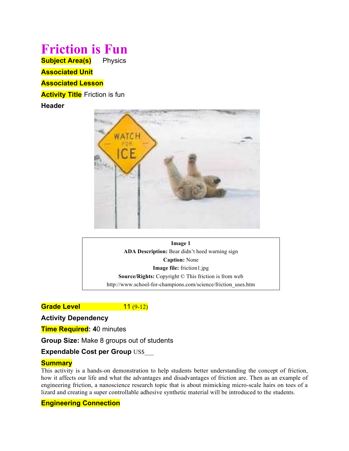# **Friction is Fun Subject Area(s)** Physics **Associated Unit**

**Associated Lesson**

**Activity Title** Friction is fun

**Header**



**Image 1 ADA Description:** Bear didn't heed warning sign **Caption:** None **Image file:** friction1.jpg **Source/Rights:** Copyright © This friction is from web http://www.school-for-champions.com/science/friction\_uses.htm

**Grade Level 11 (9-12)** 

**Activity Dependency**

**Time Required: 4**0 minutes

**Group Size:** Make 8 groups out of students

**Expendable Cost per Group US\$** 

# **Summary**

This activity is a hands-on demonstration to help students better understanding the concept of friction, how it affects our life and what the advantages and disadvantages of friction are. Then as an example of engineering friction, a nanoscience research topic that is about mimicking micro-scale hairs on toes of a lizard and creating a super controllable adhesive synthetic material will be introduced to the students.

# **Engineering Connection**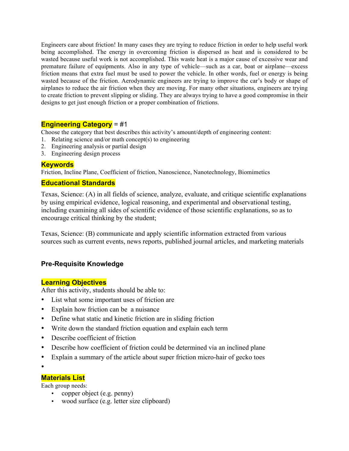Engineers care about friction! In many cases they are trying to reduce friction in order to help useful work being accomplished. The energy in overcoming friction is dispersed as heat and is considered to be wasted because useful work is not accomplished. This waste heat is a major cause of excessive wear and premature failure of equipments. Also in any type of vehicle—such as a car, boat or airplane—excess friction means that extra fuel must be used to power the vehicle. In other words, fuel or energy is being wasted because of the friction. Aerodynamic engineers are trying to improve the car's body or shape of airplanes to reduce the air friction when they are moving. For many other situations, engineers are trying to create friction to prevent slipping or sliding. They are always trying to have a good compromise in their designs to get just enough friction or a proper combination of frictions.

## **Engineering Category** = #1

Choose the category that best describes this activity's amount/depth of engineering content:

- 1. Relating science and/or math concept(s) to engineering
- 2. Engineering analysis or partial design
- 3. Engineering design process

## **Keywords**

Friction, Incline Plane, Coefficient of friction, Nanoscience, Nanotechnology, Biomimetics

## **Educational Standards**

Texas, Science: (A) in all fields of science, analyze, evaluate, and critique scientific explanations by using empirical evidence, logical reasoning, and experimental and observational testing, including examining all sides of scientific evidence of those scientific explanations, so as to encourage critical thinking by the student;

Texas, Science: (B) communicate and apply scientific information extracted from various sources such as current events, news reports, published journal articles, and marketing materials

# **Pre-Requisite Knowledge**

## **Learning Objectives**

After this activity, students should be able to:

- List what some important uses of friction are
- Explain how friction can be a nuisance
- Define what static and kinetic friction are in sliding friction
- Write down the standard friction equation and explain each term
- Describe coefficient of friction
- Describe how coefficient of friction could be determined via an inclined plane
- Explain a summary of the article about super friction micro-hair of gecko toes
- •

## **Materials List**

Each group needs:

- copper object (e.g. penny)
- wood surface (e.g. letter size clipboard)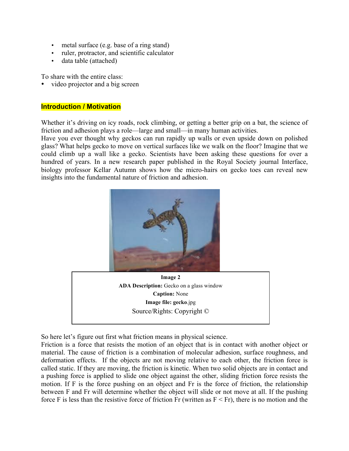- metal surface (e.g. base of a ring stand)
- ruler, protractor, and scientific calculator
- data table (attached)

To share with the entire class:

video projector and a big screen

## **Introduction / Motivation**

Whether it's driving on icy roads, rock climbing, or getting a better grip on a bat, the science of friction and adhesion plays a role—large and small—in many human activities.

Have you ever thought why geckos can run rapidly up walls or even upside down on polished glass? What helps gecko to move on vertical surfaces like we walk on the floor? Imagine that we could climb up a wall like a gecko. Scientists have been asking these questions for over a hundred of years. In a new research paper published in the Royal Society journal Interface, biology professor Kellar Autumn shows how the micro-hairs on gecko toes can reveal new insights into the fundamental nature of friction and adhesion.



**Image 2 ADA Description:** Gecko on a glass window **Caption:** None **Image file: gecko**.jpg Source/Rights: Copyright ©

So here let's figure out first what friction means in physical science.

Friction is a force that resists the motion of an object that is in contact with another object or material. The cause of friction is a combination of molecular adhesion, surface roughness, and deformation effects. If the objects are not moving relative to each other, the friction force is called static. If they are moving, the friction is kinetic. When two solid objects are in contact and a pushing force is applied to slide one object against the other, sliding friction force resists the motion. If F is the force pushing on an object and Fr is the force of friction, the relationship between F and Fr will determine whether the object will slide or not move at all. If the pushing force F is less than the resistive force of friction Fr (written as  $F \leq Fr$ ), there is no motion and the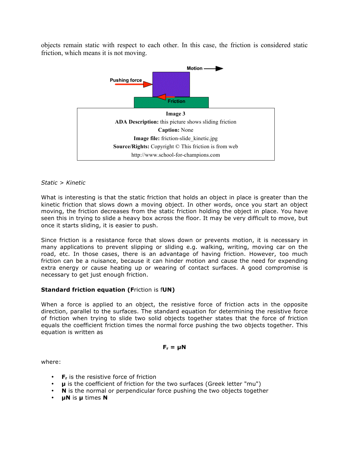objects remain static with respect to each other. In this case, the friction is considered static friction, which means it is not moving.



#### *Static > Kinetic*

What is interesting is that the static friction that holds an object in place is greater than the kinetic friction that slows down a moving object. In other words, once you start an object moving, the friction decreases from the static friction holding the object in place. You have seen this in trying to slide a heavy box across the floor. It may be very difficult to move, but once it starts sliding, it is easier to push.

Since friction is a resistance force that slows down or prevents motion, it is necessary in many applications to prevent slipping or sliding e.g. walking, writing, moving car on the road, etc. In those cases, there is an advantage of having friction. However, too much friction can be a nuisance, because it can hinder motion and cause the need for expending extra energy or cause heating up or wearing of contact surfaces. A good compromise is necessary to get just enough friction.

#### **Standard friction equation (F**riction is f**UN)**

When a force is applied to an object, the resistive force of friction acts in the opposite direction, parallel to the surfaces. The standard equation for determining the resistive force of friction when trying to slide two solid objects together states that the force of friction equals the coefficient friction times the normal force pushing the two objects together. This equation is written as

#### $F_r = \mu N$

where:

- **F<sub>r</sub>** is the resistive force of friction
- **µ** is the coefficient of friction for the two surfaces (Greek letter "mu")
- **N** is the normal or perpendicular force pushing the two objects together
- **µN** is **µ** times **N**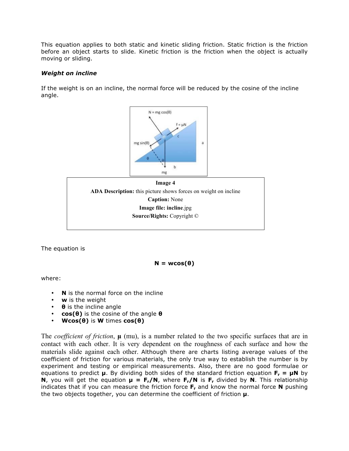This equation applies to both static and kinetic sliding friction. Static friction is the friction before an object starts to slide. Kinetic friction is the friction when the object is actually moving or sliding.

### *Weight on incline*

If the weight is on an incline, the normal force will be reduced by the cosine of the incline angle.



The equation is

 $N = wcos(θ)$ 

where:

- **N** is the normal force on the incline
- **w** is the weight
- **θ** is the incline angle
- **cos(θ)** is the cosine of the angle **θ**
- **Wcos(θ)** is **W** times **cos(θ)**

The *coefficient of friction*, **µ** (mu), is a number related to the two specific surfaces that are in contact with each other. It is very dependent on the roughness of each surface and how the materials slide against each other. Although there are charts listing average values of the coefficient of friction for various materials, the only true way to establish the number is by experiment and testing or empirical measurements. Also, there are no good formulae or equations to predict  $\mu$ . By dividing both sides of the standard friction equation  $F_r = \mu N$  by **N**, you will get the equation  $\mu = F_r/N$ , where  $F_r/N$  is  $F_r$  divided by N. This relationship indicates that if you can measure the friction force **Fr** and know the normal force **N** pushing the two objects together, you can determine the coefficient of friction **µ**.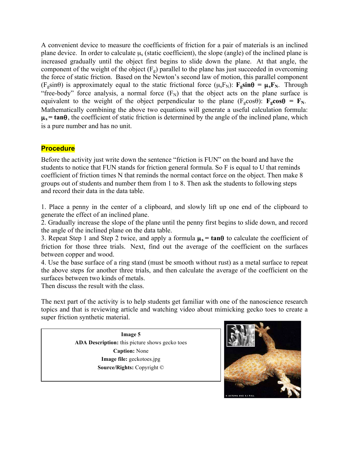A convenient device to measure the coefficients of friction for a pair of materials is an inclined plane device. In order to calculate  $\mu_s$  (static coefficient), the slope (angle) of the inclined plane is increased gradually until the object first begins to slide down the plane. At that angle, the component of the weight of the object  $(F_g)$  parallel to the plane has just succeeded in overcoming the force of static friction. Based on the Newton's second law of motion, this parallel component  $(F_g \sin\theta)$  is approximately equal to the static frictional force  $(\mu_s F_N)$ :  $\mathbf{F}_g \sin\theta = \mu_s \mathbf{F}_N$ . Through "free-body" force analysis, a normal force  $(F_N)$  that the object acts on the plane surface is equivalent to the weight of the object perpendicular to the plane  $(F_g \cos\theta)$ :  $\mathbf{F}_g \cos\theta = \mathbf{F}_N$ . Mathematically combining the above two equations will generate a useful calculation formula:  $\mu_s$  = tan $\theta$ , the coefficient of static friction is determined by the angle of the inclined plane, which is a pure number and has no unit.

# **Procedure**

Before the activity just write down the sentence "friction is FUN" on the board and have the students to notice that FUN stands for friction general formula. So F is equal to U that reminds coefficient of friction times N that reminds the normal contact force on the object. Then make 8 groups out of students and number them from 1 to 8. Then ask the students to following steps and record their data in the data table.

1. Place a penny in the center of a clipboard, and slowly lift up one end of the clipboard to generate the effect of an inclined plane.

2. Gradually increase the slope of the plane until the penny first begins to slide down, and record the angle of the inclined plane on the data table.

3. Repeat Step 1 and Step 2 twice, and apply a formula  $\mu_s = \tan\theta$  to calculate the coefficient of friction for those three trials. Next, find out the average of the coefficient on the surfaces between copper and wood.

4. Use the base surface of a ring stand (must be smooth without rust) as a metal surface to repeat the above steps for another three trials, and then calculate the average of the coefficient on the surfaces between two kinds of metals.

Then discuss the result with the class.

The next part of the activity is to help students get familiar with one of the nanoscience research topics and that is reviewing article and watching video about mimicking gecko toes to create a super friction synthetic material.

> **Image 5 ADA Description:** this picture shows gecko toes **Caption:** None **Image file:** geckotoes.jpg **Source/Rights:** Copyright ©

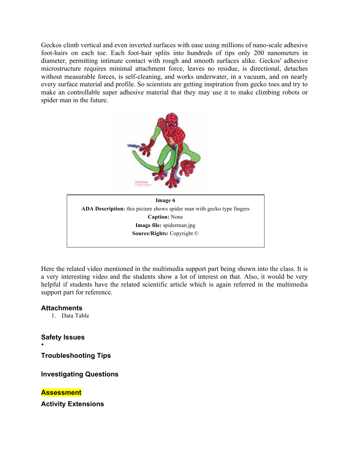Geckos climb vertical and even inverted surfaces with ease using millions of nano-scale adhesive foot-hairs on each toe. Each foot-hair splits into hundreds of tips only 200 nanometers in diameter, permitting intimate contact with rough and smooth surfaces alike. Geckos' adhesive microstructure requires minimal attachment force, leaves no residue, is directional, detaches without measurable forces, is self-cleaning, and works underwater, in a vacuum, and on nearly every surface material and profile. So scientists are getting inspiration from gecko toes and try to make an controllable super adhesive material that they may use it to make climbing robots or spider man in the future.



Here the related video mentioned in the multimedia support part being shown into the class. It is a very interesting video and the students show a lot of interest on that. Also, it would be very helpful if students have the related scientific article which is again referred in the multimedia support part for reference.

## **Attachments**

1. Data Table

**Safety Issues**

•

**Troubleshooting Tips**

**Investigating Questions**

**Assessment**

**Activity Extensions**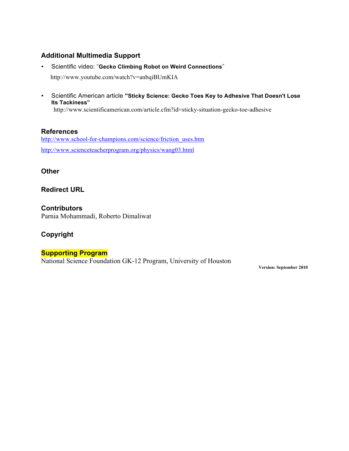# **Additional Multimedia Support**

- Scientific video: "**Gecko Climbing Robot on Weird Connections**" http://www.youtube.com/watch?v=anbqiBUmKIA
- Scientific American article **"Sticky Science: Gecko Toes Key to Adhesive That Doesn't Lose Its Tackiness"** http://www.scientificamerican.com/article.cfm?id=sticky-situation-gecko-toe-adhesive

**References** http://www.school-for-champions.com/science/friction\_uses.htm http://www.scienceteacherprogram.org/physics/wang03.html

**Other**

**Redirect URL**

**Contributors** Parnia Mohammadi, Roberto Dimaliwat

# **Copyright**

## **Supporting Program**

National Science Foundation GK-12 Program, University of Houston

**Version: September 2010**